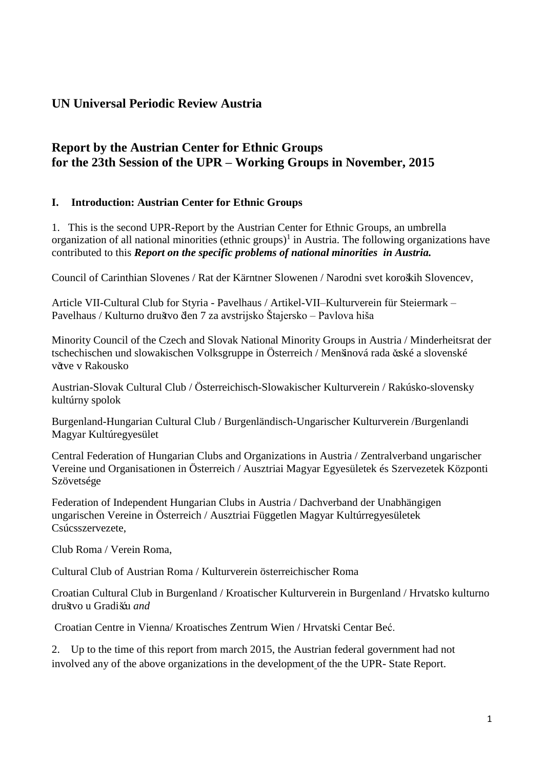# **UN Universal Periodic Review Austria**

# **Report by the Austrian Center for Ethnic Groups for the 23th Session of the UPR – Working Groups in November, 2015**

## **I. Introduction: Austrian Center for Ethnic Groups**

1. This is the second UPR-Report by the Austrian Center for Ethnic Groups, an umbrella organization of all national minorities (ethnic groups)<sup>1</sup> in Austria. The following organizations have contributed to this *Report on the specific problems of national minorities in Austria.*

Council of Carinthian Slovenes / Rat der Kärntner Slowenen / Narodni svet koroških Slovencev,

Article VII-Cultural Club for Styria - Pavelhaus / Artikel-VII–Kulturverein für Steiermark – Pavelhaus / Kulturno društvo člen 7 za avstrijsko Štajersko – Pavlova hiša

Minority Council of the Czech and Slovak National Minority Groups in Austria / Minderheitsrat der tschechischen und slowakischen Volksgruppe in Österreich / Menšinová rada české a slovenské větve v Rakousko

Austrian-Slovak Cultural Club / Österreichisch-Slowakischer Kulturverein / Rakúsko-slovensky kultúrny spolok

Burgenland-Hungarian Cultural Club / Burgenländisch-Ungarischer Kulturverein /Burgenlandi Magyar Kultúregyesület

Central Federation of Hungarian Clubs and Organizations in Austria / Zentralverband ungarischer Vereine und Organisationen in Österreich / Ausztriai Magyar Egyesületek és Szervezetek Központi Szövetsége

Federation of Independent Hungarian Clubs in Austria / Dachverband der Unabhängigen ungarischen Vereine in Österreich / Ausztriai Független Magyar Kultúrregyesületek Csúcsszervezete,

Club Roma / Verein Roma,

Cultural Club of Austrian Roma / Kulturverein österreichischer Roma

Croatian Cultural Club in Burgenland / Kroatischer Kulturverein in Burgenland / Hrvatsko kulturno društvo u Gradišću *and*

Croatian Centre in Vienna/ Kroatisches Zentrum Wien / Hrvatski Centar Beć.

2. Up to the time of this report from march 2015, the Austrian federal government had not involved any of the above organizations in the development of the the UPR- State Report.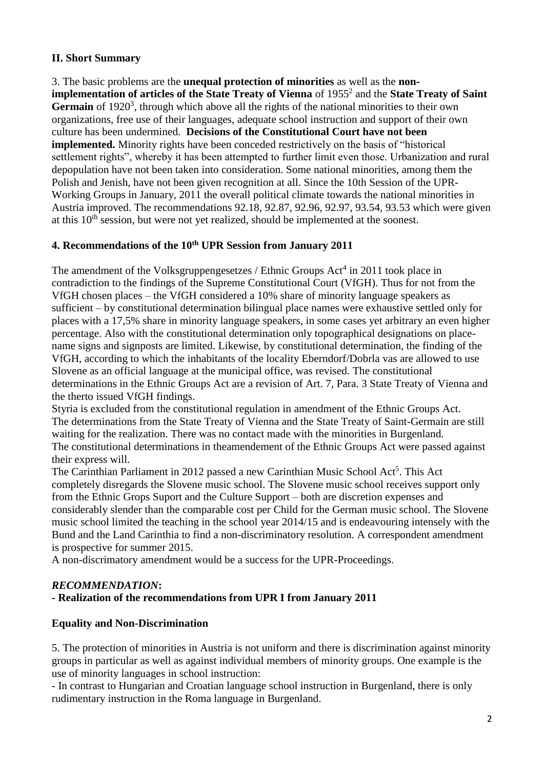## **II. Short Summary**

3. The basic problems are the **unequal protection of minorities** as well as the **non**implementation of articles of the State Treaty of Vienna of 1955<sup>2</sup> and the State Treaty of Saint Germain of 1920<sup>3</sup>, through which above all the rights of the national minorities to their own organizations, free use of their languages, adequate school instruction and support of their own culture has been undermined. **Decisions of the Constitutional Court have not been implemented.** Minority rights have been conceded restrictively on the basis of "historical settlement rights", whereby it has been attempted to further limit even those. Urbanization and rural depopulation have not been taken into consideration. Some national minorities, among them the Polish and Jenish, have not been given recognition at all. Since the 10th Session of the UPR-Working Groups in January, 2011 the overall political climate towards the national minorities in Austria improved. The recommendations 92.18, 92.87, 92.96, 92.97, 93.54, 93.53 which were given at this  $10<sup>th</sup>$  session, but were not yet realized, should be implemented at the soonest.

### **4. Recommendations of the 10th UPR Session from January 2011**

The amendment of the Volksgruppengesetzes / Ethnic Groups Act<sup>4</sup> in 2011 took place in contradiction to the findings of the Supreme Constitutional Court (VfGH). Thus for not from the VfGH chosen places – the VfGH considered a 10% share of minority language speakers as sufficient – by constitutional determination bilingual place names were exhaustive settled only for places with a 17,5% share in minority language speakers, in some cases yet arbitrary an even higher percentage. Also with the constitutional determination only topographical designations on placename signs and signposts are limited. Likewise, by constitutional determination, the finding of the VfGH, according to which the inhabitants of the locality Eberndorf/Dobrla vas are allowed to use Slovene as an official language at the municipal office, was revised. The constitutional determinations in the Ethnic Groups Act are a revision of Art. 7, Para. 3 State Treaty of Vienna and the therto issued VfGH findings.

Styria is excluded from the constitutional regulation in amendment of the Ethnic Groups Act. The determinations from the State Treaty of Vienna and the State Treaty of Saint-Germain are still waiting for the realization. There was no contact made with the minorities in Burgenland. The constitutional determinations in theamendement of the Ethnic Groups Act were passed against their express will.

The Carinthian Parliament in 2012 passed a new Carinthian Music School Act<sup>5</sup>. This Act completely disregards the Slovene music school. The Slovene music school receives support only from the Ethnic Grops Suport and the Culture Support – both are discretion expenses and considerably slender than the comparable cost per Child for the German music school. The Slovene music school limited the teaching in the school year 2014/15 and is endeavouring intensely with the Bund and the Land Carinthia to find a non-discriminatory resolution. A correspondent amendment is prospective for summer 2015.

A non-discrimatory amendment would be a success for the UPR-Proceedings.

#### *RECOMMENDATION***:**

#### **- Realization of the recommendations from UPR I from January 2011**

#### **Equality and Non-Discrimination**

5. The protection of minorities in Austria is not uniform and there is discrimination against minority groups in particular as well as against individual members of minority groups. One example is the use of minority languages in school instruction:

- In contrast to Hungarian and Croatian language school instruction in Burgenland, there is only rudimentary instruction in the Roma language in Burgenland.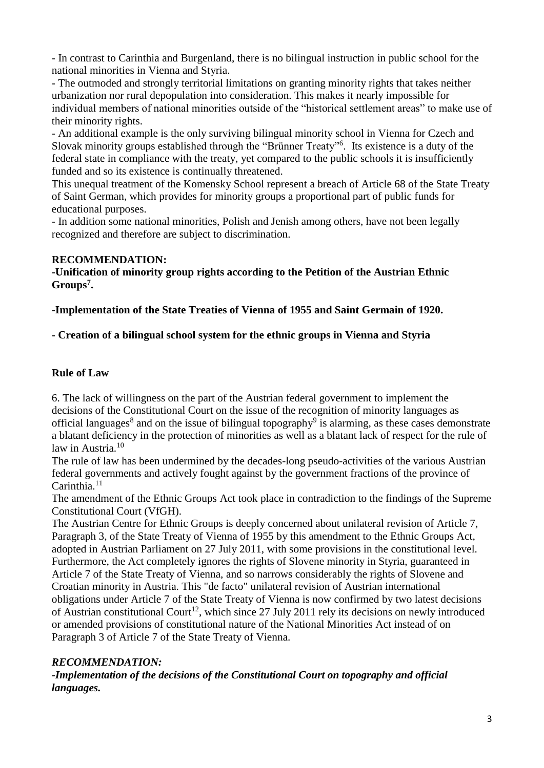- In contrast to Carinthia and Burgenland, there is no bilingual instruction in public school for the national minorities in Vienna and Styria.

- The outmoded and strongly territorial limitations on granting minority rights that takes neither urbanization nor rural depopulation into consideration. This makes it nearly impossible for individual members of national minorities outside of the "historical settlement areas" to make use of their minority rights.

- An additional example is the only surviving bilingual minority school in Vienna for Czech and Slovak minority groups established through the "Brünner Treaty"<sup>6</sup> . Its existence is a duty of the federal state in compliance with the treaty, yet compared to the public schools it is insufficiently funded and so its existence is continually threatened.

This unequal treatment of the Komensky School represent a breach of Article 68 of the State Treaty of Saint German, which provides for minority groups a proportional part of public funds for educational purposes.

- In addition some national minorities, Polish and Jenish among others, have not been legally recognized and therefore are subject to discrimination.

#### **RECOMMENDATION:**

**-Unification of minority group rights according to the Petition of the Austrian Ethnic Groups<sup>7</sup> .**

**-Implementation of the State Treaties of Vienna of 1955 and Saint Germain of 1920.**

#### **- Creation of a bilingual school system for the ethnic groups in Vienna and Styria**

#### **Rule of Law**

6. The lack of willingness on the part of the Austrian federal government to implement the decisions of the Constitutional Court on the issue of the recognition of minority languages as official languages<sup>8</sup> and on the issue of bilingual topography<sup>9</sup> is alarming, as these cases demonstrate a blatant deficiency in the protection of minorities as well as a blatant lack of respect for the rule of law in Austria.<sup>10</sup>

The rule of law has been undermined by the decades-long pseudo-activities of the various Austrian federal governments and actively fought against by the government fractions of the province of Carinthia.<sup>11</sup>

The amendment of the Ethnic Groups Act took place in contradiction to the findings of the Supreme Constitutional Court (VfGH).

The Austrian Centre for Ethnic Groups is deeply concerned about unilateral revision of Article 7, Paragraph 3, of the State Treaty of Vienna of 1955 by this amendment to the Ethnic Groups Act, adopted in Austrian Parliament on 27 July 2011, with some provisions in the constitutional level. Furthermore, the Act completely ignores the rights of Slovene minority in Styria, guaranteed in Article 7 of the State Treaty of Vienna, and so narrows considerably the rights of Slovene and Croatian minority in Austria. This "de facto" unilateral revision of Austrian international obligations under Article 7 of the State Treaty of Vienna is now confirmed by two latest decisions of Austrian constitutional Court<sup>12</sup>, which since 27 July 2011 rely its decisions on newly introduced or amended provisions of constitutional nature of the National Minorities Act instead of on Paragraph 3 of Article 7 of the State Treaty of Vienna.

#### *RECOMMENDATION:*

*-Implementation of the decisions of the Constitutional Court on topography and official languages.*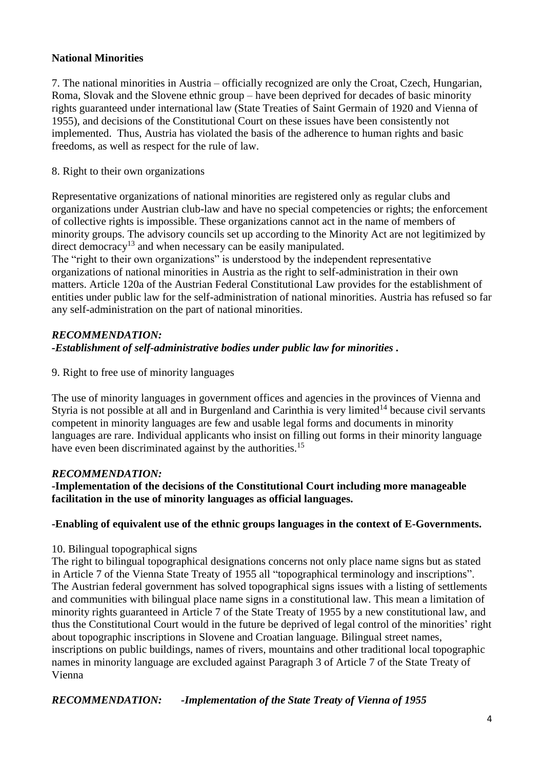## **National Minorities**

7. The national minorities in Austria – officially recognized are only the Croat, Czech, Hungarian, Roma, Slovak and the Slovene ethnic group – have been deprived for decades of basic minority rights guaranteed under international law (State Treaties of Saint Germain of 1920 and Vienna of 1955), and decisions of the Constitutional Court on these issues have been consistently not implemented. Thus, Austria has violated the basis of the adherence to human rights and basic freedoms, as well as respect for the rule of law.

#### 8. Right to their own organizations

Representative organizations of national minorities are registered only as regular clubs and organizations under Austrian club-law and have no special competencies or rights; the enforcement of collective rights is impossible. These organizations cannot act in the name of members of minority groups. The advisory councils set up according to the Minority Act are not legitimized by direct democracy<sup>13</sup> and when necessary can be easily manipulated.

The "right to their own organizations" is understood by the independent representative organizations of national minorities in Austria as the right to self-administration in their own matters. Article 120a of the Austrian Federal Constitutional Law provides for the establishment of entities under public law for the self-administration of national minorities. Austria has refused so far any self-administration on the part of national minorities.

# *RECOMMENDATION: -Establishment of self-administrative bodies under public law for minorities .*

9. Right to free use of minority languages

The use of minority languages in government offices and agencies in the provinces of Vienna and Styria is not possible at all and in Burgenland and Carinthia is very limited<sup>14</sup> because civil servants competent in minority languages are few and usable legal forms and documents in minority languages are rare. Individual applicants who insist on filling out forms in their minority language have even been discriminated against by the authorities.<sup>15</sup>

#### *RECOMMENDATION:*

**-Implementation of the decisions of the Constitutional Court including more manageable facilitation in the use of minority languages as official languages.**

# **-Enabling of equivalent use of the ethnic groups languages in the context of E-Governments.**

#### 10. Bilingual topographical signs

The right to bilingual topographical designations concerns not only place name signs but as stated in Article 7 of the Vienna State Treaty of 1955 all "topographical terminology and inscriptions". The Austrian federal government has solved topographical signs issues with a listing of settlements and communities with bilingual place name signs in a constitutional law. This mean a limitation of minority rights guaranteed in Article 7 of the State Treaty of 1955 by a new constitutional law, and thus the Constitutional Court would in the future be deprived of legal control of the minorities' right about topographic inscriptions in Slovene and Croatian language. Bilingual street names, inscriptions on public buildings, names of rivers, mountains and other traditional local topographic names in minority language are excluded against Paragraph 3 of Article 7 of the State Treaty of Vienna

*RECOMMENDATION: -Implementation of the State Treaty of Vienna of 1955*